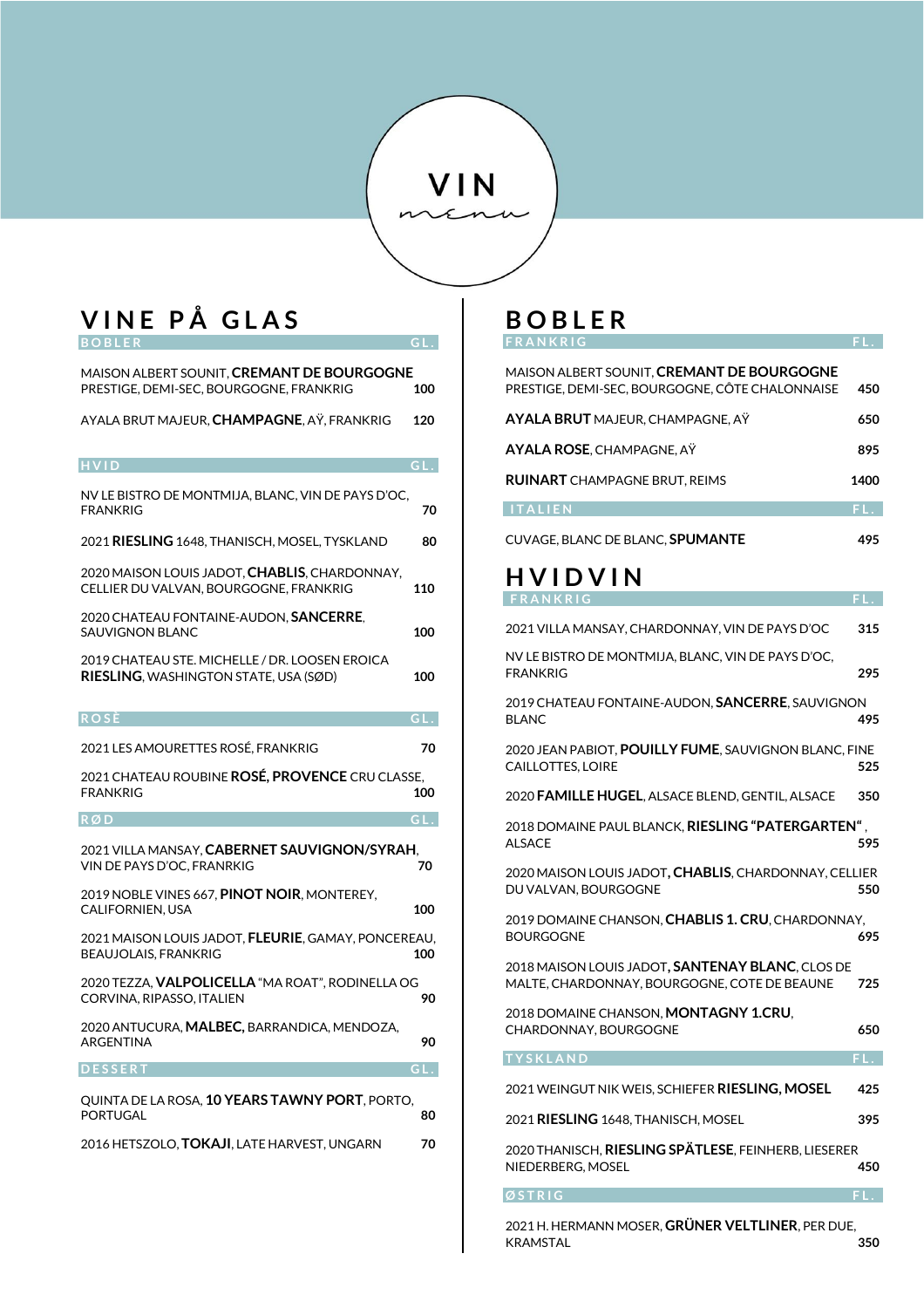## VIN

### **V I N E P Å G L A S B O B L E R G L .**

| MAISON ALBERT SOUNIT, CREMANT DE BOURGOGNE<br>PRESTIGE, DEMI-SEC, BOURGOGNE, FRANKRIG           | 100   |
|-------------------------------------------------------------------------------------------------|-------|
| AYALA BRUT MAJEUR, <b>CHAMPAGNE</b> , AŸ, FRANKRIG                                              | 120   |
| <b>HVID</b>                                                                                     | GL.   |
| NV LE BISTRO DE MONTMIJA, BLANC, VIN DE PAYS D'OC,<br><b>FRANKRIG</b>                           | 70    |
| 2021 <b>RIESLING</b> 1648. THANISCH. MOSEL. TYSKLAND                                            | 80    |
| 2020 MAISON LOUIS JADOT, <b>CHABLIS</b> , CHARDONNAY,<br>CELLIER DU VALVAN, BOURGOGNE, FRANKRIG | 110   |
| 2020 CHATEAU FONTAINE-AUDON, <b>SANCERRE</b> ,<br><b>SAUVIGNON BLANC</b>                        | 100   |
| 2019 CHATEAU STE. MICHELLE / DR. LOOSEN EROICA<br><b>RIESLING, WASHINGTON STATE, USA (SØD)</b>  | 100   |
| <b>ROSÈ</b>                                                                                     | GL.   |
| 2021 LES AMOURETTES ROSÉ. FRANKRIG                                                              | 70    |
|                                                                                                 |       |
| 2021 CHATEAU ROUBINE ROSÉ, PROVENCE CRU CLASSE,<br><b>FRANKRIG</b>                              | 100   |
| RØD.                                                                                            | G L . |
| 2021 VILLA MANSAY, CABERNET SAUVIGNON/SYRAH,<br>VIN DE PAYS D'OC, FRANRKIG                      | 70    |
| 2019 NOBLE VINES 667, <b>PINOT NOIR</b> , MONTEREY,<br><b>CALIFORNIEN, USA</b>                  | 100   |
| 2021 MAISON LOUIS JADOT, <b>FLEURIE</b> , GAMAY, PONCEREAU,<br>BEAUJOLAIS, FRANKRIG             | 100   |
| 2020 TEZZA, <b>VALPOLICELLA</b> "MA ROAT", RODINELLA OG<br>CORVINA, RIPASSO, ITALIEN            | 90    |
| 2020 ANTUCURA, MALBEC, BARRANDICA, MENDOZA,<br>ARGENTINA                                        | 90    |
| <b>DESSERT</b>                                                                                  | GL.   |
| QUINTA DE LA ROSA, 10 YEARS TAWNY PORT, PORTO,<br><b>PORTUGAL</b>                               | 80    |

## **B O B L E R**

| FRANKRIG                                                                                             |      |
|------------------------------------------------------------------------------------------------------|------|
| MAISON ALBERT SOUNIT, <b>CREMANT DE BOURGOGNE</b><br>PRESTIGE, DEMI-SEC, BOURGOGNE, CÔTE CHALONNAISE | 450  |
| AYALA BRUT MAJEUR, CHAMPAGNE, AŸ                                                                     | 650  |
| <b>AYALA ROSE, CHAMPAGNE, AY</b>                                                                     | 895  |
| <b>RUINART</b> CHAMPAGNE BRUT, REIMS                                                                 | 1400 |
| <b>ITALIEN</b>                                                                                       | FL.  |
| CUVAGE, BLANC DE BLANC, SPUMANTE                                                                     | 495  |
| <b>HVIDVIN</b>                                                                                       |      |
| FRANKRIG                                                                                             | FL.  |
| 2021 VILLA MANSAY, CHARDONNAY, VIN DE PAYS D'OC                                                      | 315  |
| NV LE BISTRO DE MONTMIJA, BLANC, VIN DE PAYS D'OC,<br><b>FRANKRIG</b>                                | 295  |
| 2019 CHATEAU FONTAINE-AUDON, SANCERRE, SAUVIGNON<br><b>BLANC</b>                                     | 495  |
| 2020 JEAN PABIOT, POUILLY FUME, SAUVIGNON BLANC, FINE<br>CAILLOTTES, LOIRE                           | 525  |
| 2020 FAMILLE HUGEL, ALSACE BLEND, GENTIL, ALSACE                                                     | 350  |
| 2018 DOMAINE PAUL BLANCK, RIESLING "PATERGARTEN",<br><b>ALSACE</b>                                   | 595  |
| 2020 MAISON LOUIS JADOT, CHABLIS, CHARDONNAY, CELLIER<br>DU VALVAN, BOURGOGNE                        | 550  |
| 2019 DOMAINE CHANSON, CHABLIS 1. CRU, CHARDONNAY,<br><b>BOURGOGNE</b>                                | 695  |
| 2018 MAISON LOUIS JADOT, SANTENAY BLANC, CLOS DE<br>MALTE, CHARDONNAY, BOURGOGNE, COTE DE BEAUNE     | 725  |
| 2018 DOMAINE CHANSON, MONTAGNY 1.CRU,<br>CHARDONNAY, BOURGOGNE                                       | 650  |
| <b>TYSKLAND</b>                                                                                      | FL.  |
| 2021 WEINGUT NIK WEIS, SCHIEFER RIESLING, MOSEL                                                      | 425  |
| 2021 RIESLING 1648, THANISCH, MOSEL                                                                  | 395  |
| 2020 THANISCH, RIESLING SPÄTLESE, FEINHERB, LIESERER<br>NIEDERBERG, MOSEL                            | 450  |
| OSTRIG                                                                                               |      |

2021 H. HERMANN MOSER, **GRÜNER VELTLINER**, PER DUE, KRAMSTAL **350**